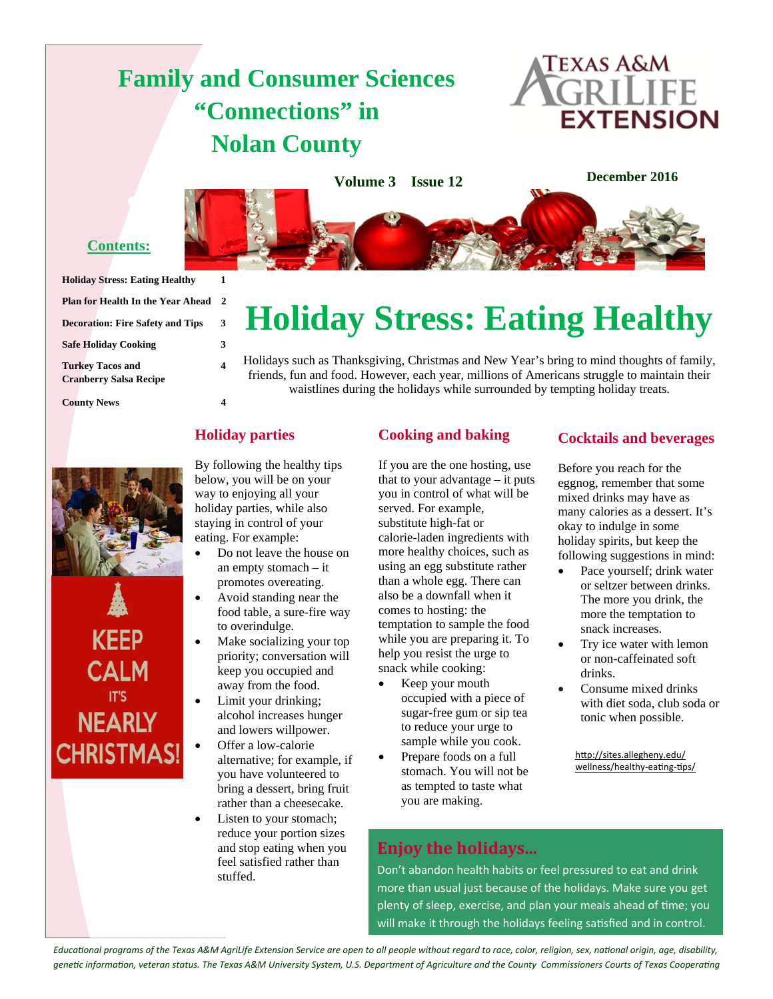## **Family and Consumer Sciences "Connections" in Nolan County**



**December 2016 Volume 3 Issue 12**

## **Contents:**

| <b>Holiday Stress: Eating Healthy</b>   | 1 |
|-----------------------------------------|---|
| Plan for Health In the Year Ahead       | 2 |
| <b>Decoration: Fire Safety and Tips</b> | 3 |
| <b>Safe Holiday Cooking</b>             | 3 |
| <b>Turkey Tacos and</b>                 |   |
| <b>Cranberry Salsa Recipe</b>           |   |
| <b>County News</b>                      |   |

Holidays such as Thanksgiving, Christmas and New Year's bring to mind thoughts of family, friends, fun and food. However, each year, millions of Americans struggle to maintain their waistlines during the holidays while surrounded by tempting holiday treats.

**Holiday Stress: Eating Healthy** 

## **Holiday parties**

By following the healthy tips below, you will be on your way to enjoying all your holiday parties, while also staying in control of your eating. For example:

- Do not leave the house on an empty stomach – it promotes overeating.
- Avoid standing near the food table, a sure-fire way to overindulge.
- Make socializing your top priority; conversation will keep you occupied and away from the food.
- Limit your drinking; alcohol increases hunger and lowers willpower.

 Offer a low-calorie alternative; for example, if you have volunteered to bring a dessert, bring fruit rather than a cheesecake.

 Listen to your stomach; reduce your portion sizes and stop eating when you feel satisfied rather than stuffed.

## **Cooking and baking**

If you are the one hosting, use that to your advantage – it puts you in control of what will be served. For example, substitute high-fat or calorie-laden ingredients with more healthy choices, such as using an egg substitute rather than a whole egg. There can also be a downfall when it comes to hosting: the temptation to sample the food while you are preparing it. To help you resist the urge to snack while cooking:

- Keep your mouth occupied with a piece of sugar-free gum or sip tea to reduce your urge to sample while you cook.
- Prepare foods on a full stomach. You will not be as tempted to taste what you are making.

## **Cocktails and beverages**

Before you reach for the eggnog, remember that some mixed drinks may have as many calories as a dessert. It's okay to indulge in some holiday spirits, but keep the following suggestions in mind:

- Pace yourself; drink water or seltzer between drinks. The more you drink, the more the temptation to snack increases.
- Try ice water with lemon or non-caffeinated soft drinks.
- Consume mixed drinks with diet soda, club soda or tonic when possible.

http://sites.allegheny.edu/ wellness/healthy-eating-tips/

## **Enjoy the holidays...**

Don't abandon health habits or feel pressured to eat and drink more than usual just because of the holidays. Make sure you get plenty of sleep, exercise, and plan your meals ahead of time; you will make it through the holidays feeling satisfied and in control.

*EducaƟonal programs of the Texas A&M AgriLife Extension Service are open to all people without regard to race, color, religion, sex, naƟonal origin, age, disability, geneƟc informaƟon, veteran status. The Texas A&M University System, U.S. Department of Agriculture and the County Commissioners Courts of Texas CooperaƟng* 



**KEEP** 

**CALM** 

**NEARLY** 

**CHRISTMAS!**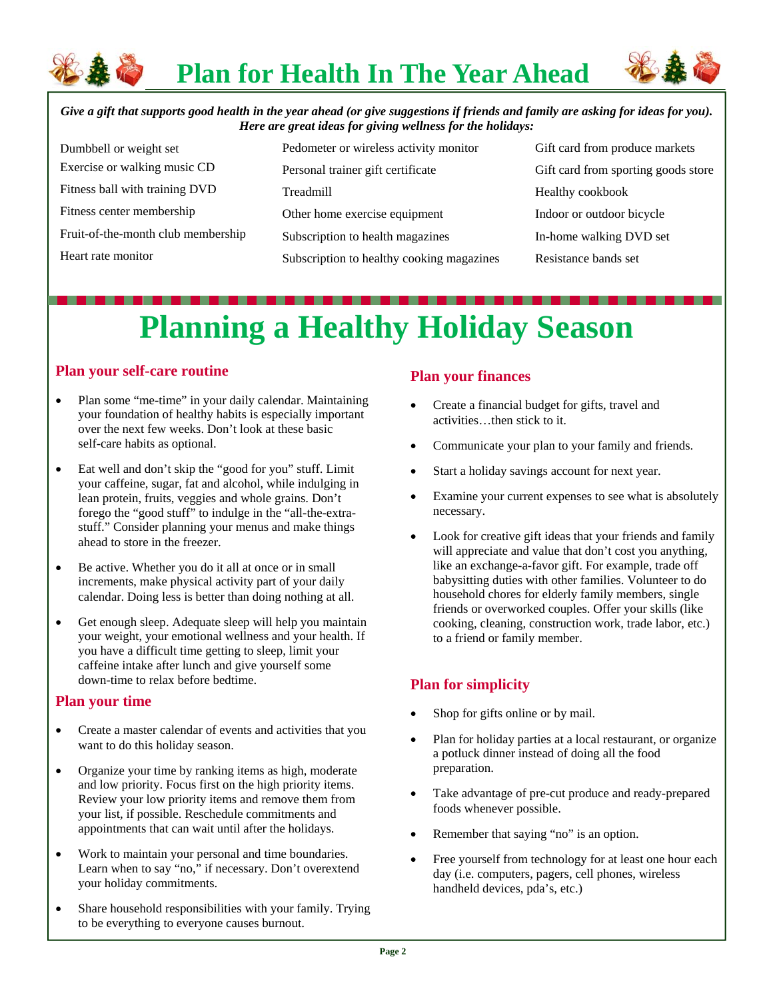

**Plan for Health In The Year Ahead** 



*Give a gift that supports good health in the year ahead (or give suggestions if friends and family are asking for ideas for you). Here are great ideas for giving wellness for the holidays:* 

| Dumbbell or weight set             | Pedometer or wireless activity monitor    |
|------------------------------------|-------------------------------------------|
| Exercise or walking music CD       | Personal trainer gift certificate         |
| Fitness ball with training DVD     | Treadmill                                 |
| Fitness center membership          | Other home exercise equipment             |
| Fruit-of-the-month club membership | Subscription to health magazines          |
| Heart rate monitor                 | Subscription to healthy cooking magazines |

Gift card from produce markets Gift card from sporting goods store Healthy cookbook Indoor or outdoor bicycle In-home walking DVD set Resistance bands set

# **Planning a Healthy Holiday Season**

## **Plan your self-care routine**

- Plan some "me-time" in your daily calendar. Maintaining your foundation of healthy habits is especially important over the next few weeks. Don't look at these basic self-care habits as optional.
- Eat well and don't skip the "good for you" stuff. Limit your caffeine, sugar, fat and alcohol, while indulging in lean protein, fruits, veggies and whole grains. Don't forego the "good stuff" to indulge in the "all-the-extrastuff." Consider planning your menus and make things ahead to store in the freezer.
- Be active. Whether you do it all at once or in small increments, make physical activity part of your daily calendar. Doing less is better than doing nothing at all.
- Get enough sleep. Adequate sleep will help you maintain your weight, your emotional wellness and your health. If you have a difficult time getting to sleep, limit your caffeine intake after lunch and give yourself some down-time to relax before bedtime.

### **Plan your time**

- Create a master calendar of events and activities that you want to do this holiday season.
- Organize your time by ranking items as high, moderate and low priority. Focus first on the high priority items. Review your low priority items and remove them from your list, if possible. Reschedule commitments and appointments that can wait until after the holidays.
- Work to maintain your personal and time boundaries. Learn when to say "no," if necessary. Don't overextend your holiday commitments.
- Share household responsibilities with your family. Trying to be everything to everyone causes burnout.

## **Plan your finances**

- Create a financial budget for gifts, travel and activities…then stick to it.
- Communicate your plan to your family and friends.
- Start a holiday savings account for next year.
- Examine your current expenses to see what is absolutely necessary.
- Look for creative gift ideas that your friends and family will appreciate and value that don't cost you anything, like an exchange-a-favor gift. For example, trade off babysitting duties with other families. Volunteer to do household chores for elderly family members, single friends or overworked couples. Offer your skills (like cooking, cleaning, construction work, trade labor, etc.) to a friend or family member.

## **Plan for simplicity**

- Shop for gifts online or by mail.
- Plan for holiday parties at a local restaurant, or organize a potluck dinner instead of doing all the food preparation.
- Take advantage of pre-cut produce and ready-prepared foods whenever possible.
- Remember that saying "no" is an option.
- Free yourself from technology for at least one hour each day (i.e. computers, pagers, cell phones, wireless handheld devices, pda's, etc.)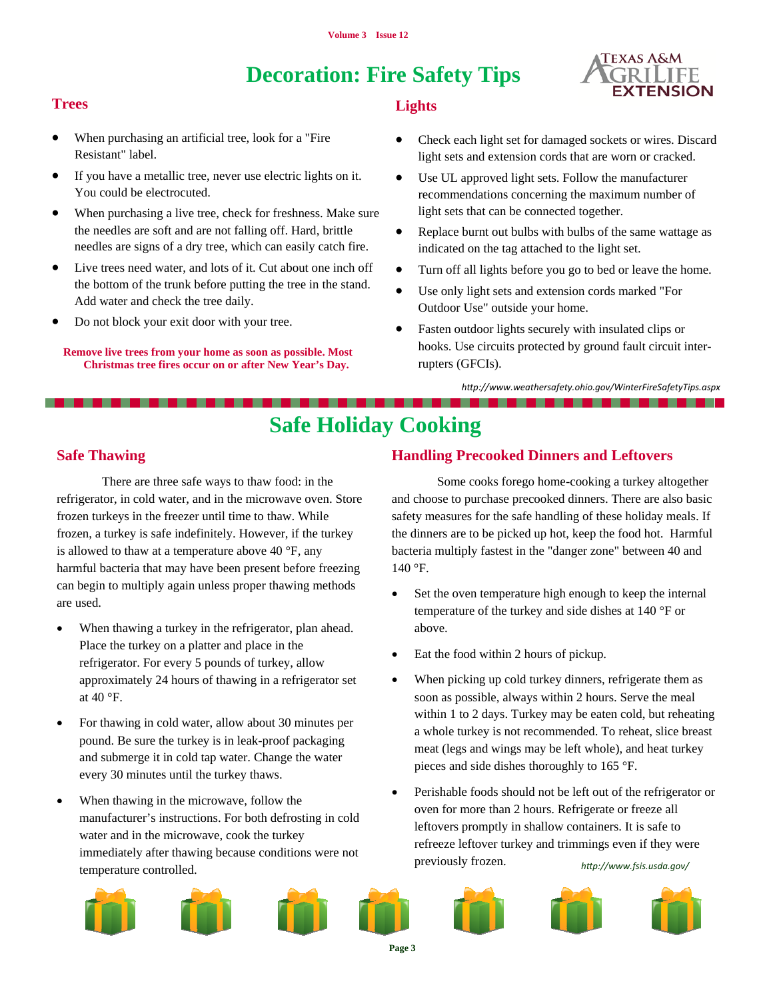## **Decoration: Fire Safety Tips**



## **Trees**

- When purchasing an artificial tree, look for a "Fire Resistant" label.
- If you have a metallic tree, never use electric lights on it. You could be electrocuted.
- When purchasing a live tree, check for freshness. Make sure the needles are soft and are not falling off. Hard, brittle needles are signs of a dry tree, which can easily catch fire.
- Live trees need water, and lots of it. Cut about one inch off the bottom of the trunk before putting the tree in the stand. Add water and check the tree daily.
- Do not block your exit door with your tree.

**Remove live trees from your home as soon as possible. Most Christmas tree fires occur on or after New Year's Day.** 

### **Lights**

- Check each light set for damaged sockets or wires. Discard light sets and extension cords that are worn or cracked.
- Use UL approved light sets. Follow the manufacturer recommendations concerning the maximum number of light sets that can be connected together.
- Replace burnt out bulbs with bulbs of the same wattage as indicated on the tag attached to the light set.
- Turn off all lights before you go to bed or leave the home.
- Use only light sets and extension cords marked "For Outdoor Use" outside your home.
- Fasten outdoor lights securely with insulated clips or hooks. Use circuits protected by ground fault circuit interrupters (GFCIs).

*hƩp://www.weathersafety.ohio.gov/WinterFireSafetyTips.aspx* 

. . . . . . . . . . . .

## **Safe Holiday Cooking**

## **Safe Thawing**

 There are three safe ways to thaw food: in the refrigerator, in cold water, and in the microwave oven. Store frozen turkeys in the freezer until time to thaw. While frozen, a turkey is safe indefinitely. However, if the turkey is allowed to thaw at a temperature above 40  $\degree$ F, any harmful bacteria that may have been present before freezing can begin to multiply again unless proper thawing methods are used.

- When thawing a turkey in the refrigerator, plan ahead. Place the turkey on a platter and place in the refrigerator. For every 5 pounds of turkey, allow approximately 24 hours of thawing in a refrigerator set at 40 °F.
- For thawing in cold water, allow about 30 minutes per pound. Be sure the turkey is in leak-proof packaging and submerge it in cold tap water. Change the water every 30 minutes until the turkey thaws.
- When thawing in the microwave, follow the manufacturer's instructions. For both defrosting in cold water and in the microwave, cook the turkey immediately after thawing because conditions were not temperature controlled.

## **Handling Precooked Dinners and Leftovers**

 Some cooks forego home-cooking a turkey altogether and choose to purchase precooked dinners. There are also basic safety measures for the safe handling of these holiday meals. If the dinners are to be picked up hot, keep the food hot. Harmful bacteria multiply fastest in the "danger zone" between 40 and 140 °F.

- Set the oven temperature high enough to keep the internal temperature of the turkey and side dishes at 140 °F or above.
- Eat the food within 2 hours of pickup.
- When picking up cold turkey dinners, refrigerate them as soon as possible, always within 2 hours. Serve the meal within 1 to 2 days. Turkey may be eaten cold, but reheating a whole turkey is not recommended. To reheat, slice breast meat (legs and wings may be left whole), and heat turkey pieces and side dishes thoroughly to 165 °F.
- Perishable foods should not be left out of the refrigerator or oven for more than 2 hours. Refrigerate or freeze all leftovers promptly in shallow containers. It is safe to refreeze leftover turkey and trimmings even if they were previously frozen. *hƩp://www.fsis.usda.gov/*